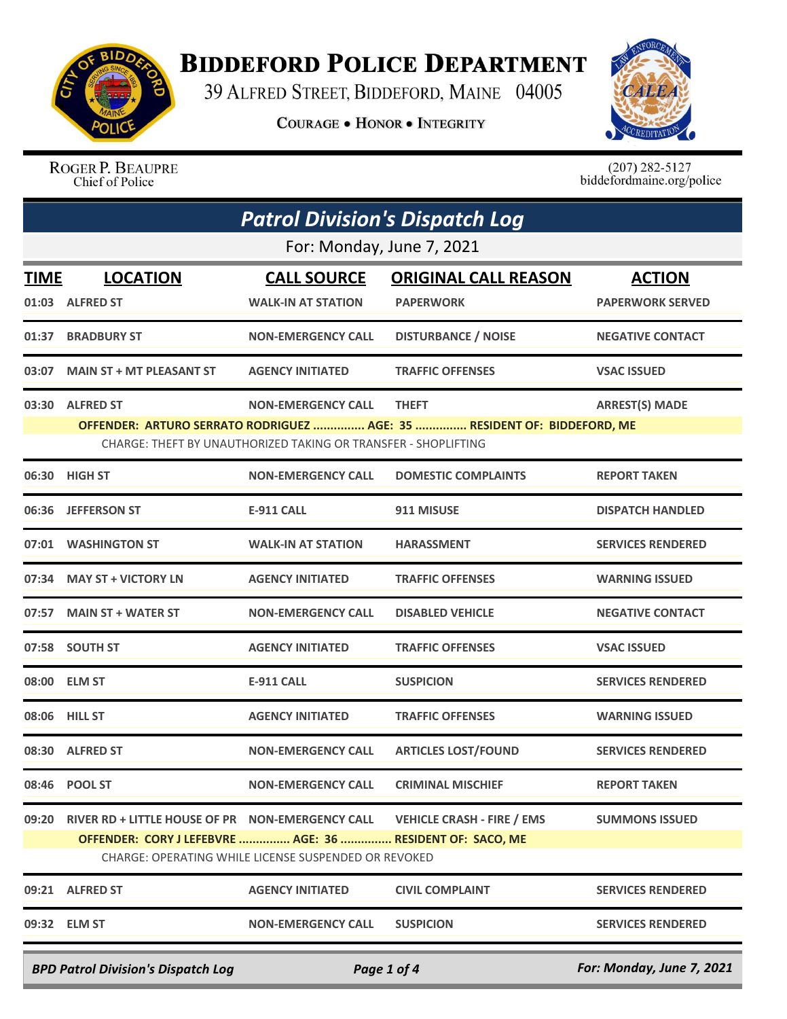

## **BIDDEFORD POLICE DEPARTMENT**

39 ALFRED STREET, BIDDEFORD, MAINE 04005

**COURAGE . HONOR . INTEGRITY** 



ROGER P. BEAUPRE Chief of Police

 $(207)$  282-5127<br>biddefordmaine.org/police

| <b>Patrol Division's Dispatch Log</b> |                                                                                                               |                                                                                             |                                                                                         |                                          |  |  |
|---------------------------------------|---------------------------------------------------------------------------------------------------------------|---------------------------------------------------------------------------------------------|-----------------------------------------------------------------------------------------|------------------------------------------|--|--|
|                                       | For: Monday, June 7, 2021                                                                                     |                                                                                             |                                                                                         |                                          |  |  |
| TIME<br>01:03                         | <b>LOCATION</b><br><b>ALFRED ST</b>                                                                           | <b>CALL SOURCE</b><br><b>WALK-IN AT STATION</b>                                             | <b>ORIGINAL CALL REASON</b><br><b>PAPERWORK</b>                                         | <b>ACTION</b><br><b>PAPERWORK SERVED</b> |  |  |
| 01:37                                 | <b>BRADBURY ST</b>                                                                                            | <b>NON-EMERGENCY CALL</b>                                                                   | <b>DISTURBANCE / NOISE</b>                                                              | <b>NEGATIVE CONTACT</b>                  |  |  |
| 03:07                                 | <b>MAIN ST + MT PLEASANT ST</b>                                                                               | <b>AGENCY INITIATED</b>                                                                     | <b>TRAFFIC OFFENSES</b>                                                                 | <b>VSAC ISSUED</b>                       |  |  |
|                                       | 03:30 ALFRED ST                                                                                               | <b>NON-EMERGENCY CALL</b><br>CHARGE: THEFT BY UNAUTHORIZED TAKING OR TRANSFER - SHOPLIFTING | <b>THEFT</b><br>OFFENDER: ARTURO SERRATO RODRIGUEZ  AGE: 35  RESIDENT OF: BIDDEFORD, ME | <b>ARREST(S) MADE</b>                    |  |  |
|                                       | 06:30 HIGH ST                                                                                                 | <b>NON-EMERGENCY CALL</b>                                                                   | <b>DOMESTIC COMPLAINTS</b>                                                              | <b>REPORT TAKEN</b>                      |  |  |
| 06:36                                 | <b>JEFFERSON ST</b>                                                                                           | <b>E-911 CALL</b>                                                                           | 911 MISUSE                                                                              | <b>DISPATCH HANDLED</b>                  |  |  |
| 07:01                                 | <b>WASHINGTON ST</b>                                                                                          | <b>WALK-IN AT STATION</b>                                                                   | <b>HARASSMENT</b>                                                                       | <b>SERVICES RENDERED</b>                 |  |  |
| 07:34                                 | <b>MAY ST + VICTORY LN</b>                                                                                    | <b>AGENCY INITIATED</b>                                                                     | <b>TRAFFIC OFFENSES</b>                                                                 | <b>WARNING ISSUED</b>                    |  |  |
| 07:57                                 | <b>MAIN ST + WATER ST</b>                                                                                     | <b>NON-EMERGENCY CALL</b>                                                                   | <b>DISABLED VEHICLE</b>                                                                 | <b>NEGATIVE CONTACT</b>                  |  |  |
|                                       | 07:58 SOUTH ST                                                                                                | <b>AGENCY INITIATED</b>                                                                     | <b>TRAFFIC OFFENSES</b>                                                                 | <b>VSAC ISSUED</b>                       |  |  |
|                                       | 08:00 ELM ST                                                                                                  | <b>E-911 CALL</b>                                                                           | <b>SUSPICION</b>                                                                        | <b>SERVICES RENDERED</b>                 |  |  |
|                                       | 08:06 HILL ST                                                                                                 | <b>AGENCY INITIATED</b>                                                                     | <b>TRAFFIC OFFENSES</b>                                                                 | <b>WARNING ISSUED</b>                    |  |  |
|                                       | 08:30 ALFRED ST                                                                                               | <b>NON-EMERGENCY CALL</b>                                                                   | <b>ARTICLES LOST/FOUND</b>                                                              | <b>SERVICES RENDERED</b>                 |  |  |
| 08:46                                 | <b>POOL ST</b>                                                                                                | <b>NON-EMERGENCY CALL</b>                                                                   | <b>CRIMINAL MISCHIEF</b>                                                                | <b>REPORT TAKEN</b>                      |  |  |
| 09:20                                 | RIVER RD + LITTLE HOUSE OF PR NON-EMERGENCY CALL<br>OFFENDER: CORY J LEFEBVRE  AGE: 36  RESIDENT OF: SACO, ME | CHARGE: OPERATING WHILE LICENSE SUSPENDED OR REVOKED                                        | <b>VEHICLE CRASH - FIRE / EMS</b>                                                       | <b>SUMMONS ISSUED</b>                    |  |  |
|                                       | 09:21 ALFRED ST                                                                                               | <b>AGENCY INITIATED</b>                                                                     | <b>CIVIL COMPLAINT</b>                                                                  | <b>SERVICES RENDERED</b>                 |  |  |
| 09:32                                 | <b>ELM ST</b>                                                                                                 | <b>NON-EMERGENCY CALL</b>                                                                   | <b>SUSPICION</b>                                                                        | <b>SERVICES RENDERED</b>                 |  |  |
|                                       | <b>BPD Patrol Division's Dispatch Log</b>                                                                     |                                                                                             | Page 1 of 4                                                                             | For: Monday, June 7, 2021                |  |  |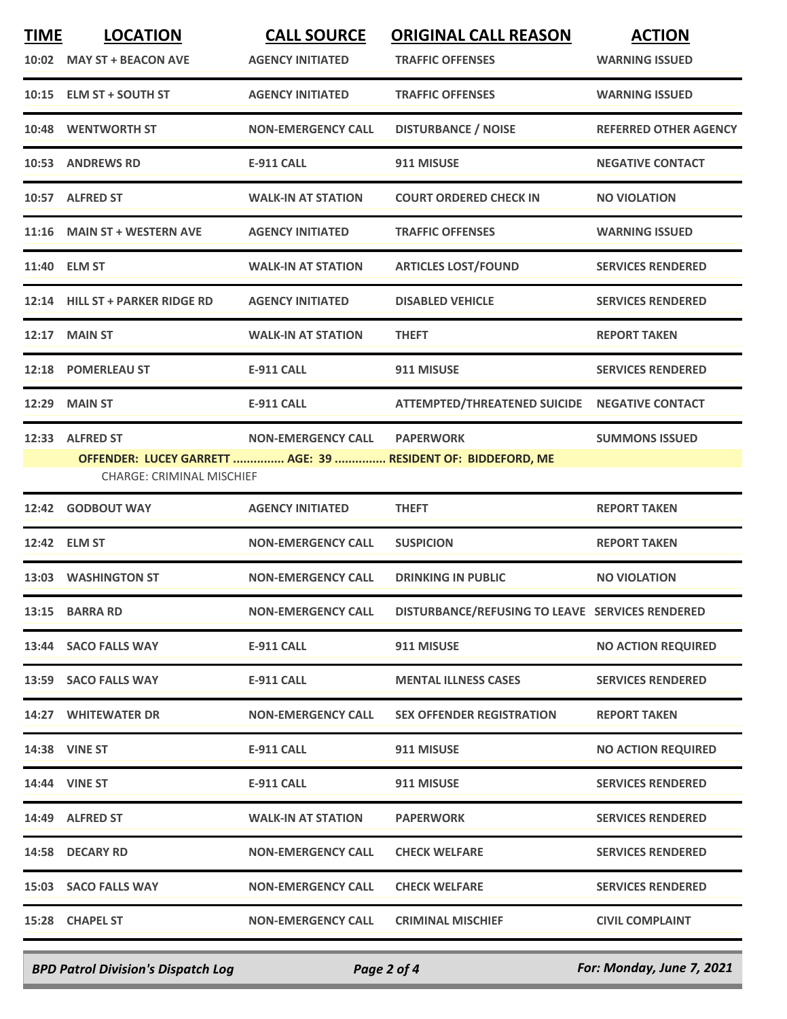| <b>TIME</b> | <b>LOCATION</b>                  | <b>CALL SOURCE</b>        | <b>ORIGINAL CALL REASON</b>                                  | <b>ACTION</b>                |
|-------------|----------------------------------|---------------------------|--------------------------------------------------------------|------------------------------|
|             | 10:02 MAY ST + BEACON AVE        | <b>AGENCY INITIATED</b>   | <b>TRAFFIC OFFENSES</b>                                      | <b>WARNING ISSUED</b>        |
|             | 10:15 ELM ST + SOUTH ST          | <b>AGENCY INITIATED</b>   | <b>TRAFFIC OFFENSES</b>                                      | <b>WARNING ISSUED</b>        |
|             | 10:48 WENTWORTH ST               | <b>NON-EMERGENCY CALL</b> | <b>DISTURBANCE / NOISE</b>                                   | <b>REFERRED OTHER AGENCY</b> |
|             | 10:53 ANDREWS RD                 | <b>E-911 CALL</b>         | 911 MISUSE                                                   | <b>NEGATIVE CONTACT</b>      |
|             | 10:57 ALFRED ST                  | <b>WALK-IN AT STATION</b> | <b>COURT ORDERED CHECK IN</b>                                | <b>NO VIOLATION</b>          |
|             | 11:16 MAIN ST + WESTERN AVE      | <b>AGENCY INITIATED</b>   | <b>TRAFFIC OFFENSES</b>                                      | <b>WARNING ISSUED</b>        |
|             | 11:40 ELM ST                     | <b>WALK-IN AT STATION</b> | <b>ARTICLES LOST/FOUND</b>                                   | <b>SERVICES RENDERED</b>     |
|             | 12:14 HILL ST + PARKER RIDGE RD  | <b>AGENCY INITIATED</b>   | <b>DISABLED VEHICLE</b>                                      | <b>SERVICES RENDERED</b>     |
|             | <b>12:17 MAIN ST</b>             | <b>WALK-IN AT STATION</b> | <b>THEFT</b>                                                 | <b>REPORT TAKEN</b>          |
|             | 12:18 POMERLEAU ST               | <b>E-911 CALL</b>         | 911 MISUSE                                                   | <b>SERVICES RENDERED</b>     |
|             | 12:29 MAIN ST                    | <b>E-911 CALL</b>         | ATTEMPTED/THREATENED SUICIDE NEGATIVE CONTACT                |                              |
|             | 12:33 ALFRED ST                  | <b>NON-EMERGENCY CALL</b> | <b>PAPERWORK</b>                                             | <b>SUMMONS ISSUED</b>        |
|             | <b>CHARGE: CRIMINAL MISCHIEF</b> |                           | OFFENDER: LUCEY GARRETT  AGE: 39  RESIDENT OF: BIDDEFORD, ME |                              |
|             | 12:42 GODBOUT WAY                | <b>AGENCY INITIATED</b>   | <b>THEFT</b>                                                 | <b>REPORT TAKEN</b>          |
|             | 12:42 ELM ST                     | <b>NON-EMERGENCY CALL</b> | <b>SUSPICION</b>                                             | <b>REPORT TAKEN</b>          |
|             | 13:03 WASHINGTON ST              | <b>NON-EMERGENCY CALL</b> | <b>DRINKING IN PUBLIC</b>                                    | <b>NO VIOLATION</b>          |
|             | 13:15 BARRA RD                   | <b>NON-EMERGENCY CALL</b> | DISTURBANCE/REFUSING TO LEAVE SERVICES RENDERED              |                              |
|             | 13:44 SACO FALLS WAY             | <b>E-911 CALL</b>         | 911 MISUSE                                                   | <b>NO ACTION REQUIRED</b>    |
|             | 13:59 SACO FALLS WAY             | <b>E-911 CALL</b>         | <b>MENTAL ILLNESS CASES</b>                                  | <b>SERVICES RENDERED</b>     |
|             | <b>14:27 WHITEWATER DR</b>       | <b>NON-EMERGENCY CALL</b> | <b>SEX OFFENDER REGISTRATION</b>                             | <b>REPORT TAKEN</b>          |
|             | <b>14:38 VINE ST</b>             | E-911 CALL                | 911 MISUSE                                                   | <b>NO ACTION REQUIRED</b>    |
|             | 14:44 VINE ST                    | E-911 CALL                | 911 MISUSE                                                   | <b>SERVICES RENDERED</b>     |
|             | 14:49 ALFRED ST                  | <b>WALK-IN AT STATION</b> | <b>PAPERWORK</b>                                             | <b>SERVICES RENDERED</b>     |
|             | 14:58 DECARY RD                  | <b>NON-EMERGENCY CALL</b> | <b>CHECK WELFARE</b>                                         | <b>SERVICES RENDERED</b>     |
|             | 15:03 SACO FALLS WAY             | <b>NON-EMERGENCY CALL</b> | <b>CHECK WELFARE</b>                                         | <b>SERVICES RENDERED</b>     |
|             | 15:28 CHAPEL ST                  | <b>NON-EMERGENCY CALL</b> | <b>CRIMINAL MISCHIEF</b>                                     | <b>CIVIL COMPLAINT</b>       |

*BPD Patrol Division's Dispatch Log Page 2 of 4 For: Monday, June 7, 2021*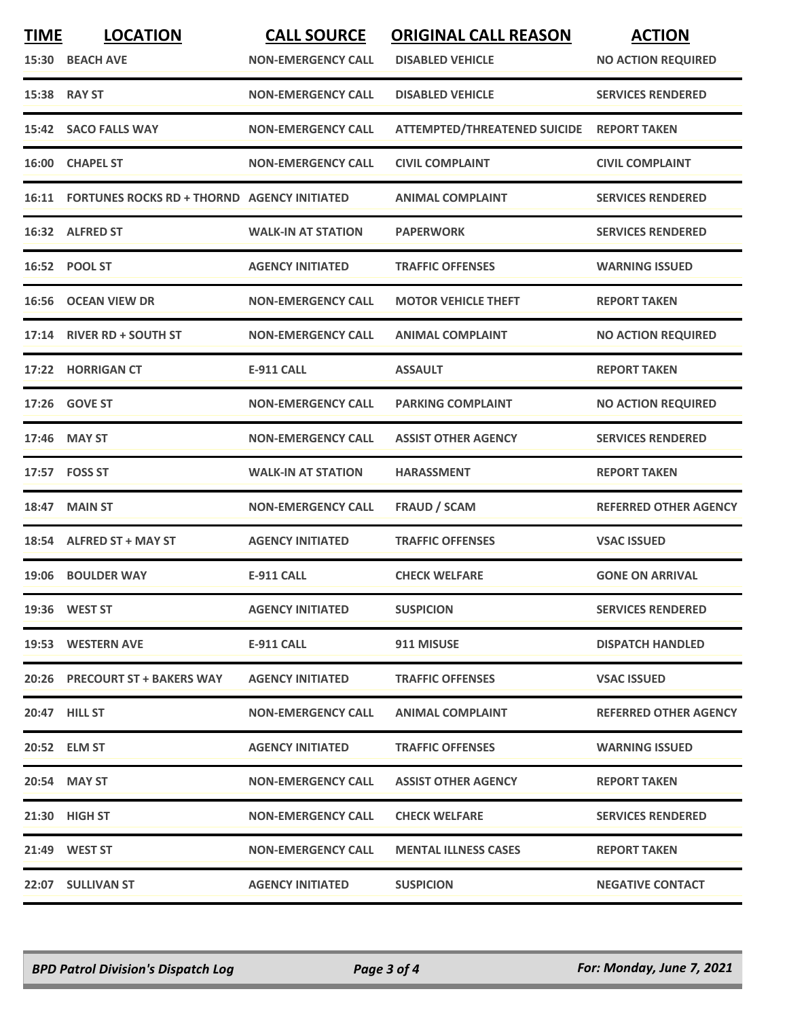| <b>TIME</b>  | <b>LOCATION</b>                                   | <b>CALL SOURCE</b>        | <b>ORIGINAL CALL REASON</b>               | <b>ACTION</b>                |
|--------------|---------------------------------------------------|---------------------------|-------------------------------------------|------------------------------|
|              | 15:30 BEACH AVE                                   | <b>NON-EMERGENCY CALL</b> | <b>DISABLED VEHICLE</b>                   | <b>NO ACTION REQUIRED</b>    |
|              | 15:38 RAY ST                                      | <b>NON-EMERGENCY CALL</b> | <b>DISABLED VEHICLE</b>                   | <b>SERVICES RENDERED</b>     |
|              | 15:42 SACO FALLS WAY                              | <b>NON-EMERGENCY CALL</b> | ATTEMPTED/THREATENED SUICIDE REPORT TAKEN |                              |
| <b>16:00</b> | <b>CHAPEL ST</b>                                  | <b>NON-EMERGENCY CALL</b> | <b>CIVIL COMPLAINT</b>                    | <b>CIVIL COMPLAINT</b>       |
|              | 16:11 FORTUNES ROCKS RD + THORND AGENCY INITIATED |                           | <b>ANIMAL COMPLAINT</b>                   | <b>SERVICES RENDERED</b>     |
|              | 16:32 ALFRED ST                                   | <b>WALK-IN AT STATION</b> | <b>PAPERWORK</b>                          | <b>SERVICES RENDERED</b>     |
|              | 16:52 POOL ST                                     | <b>AGENCY INITIATED</b>   | <b>TRAFFIC OFFENSES</b>                   | <b>WARNING ISSUED</b>        |
| 16:56        | <b>OCEAN VIEW DR</b>                              | <b>NON-EMERGENCY CALL</b> | <b>MOTOR VEHICLE THEFT</b>                | <b>REPORT TAKEN</b>          |
|              | 17:14 RIVER RD + SOUTH ST                         | <b>NON-EMERGENCY CALL</b> | <b>ANIMAL COMPLAINT</b>                   | <b>NO ACTION REQUIRED</b>    |
|              | 17:22 HORRIGAN CT                                 | <b>E-911 CALL</b>         | <b>ASSAULT</b>                            | <b>REPORT TAKEN</b>          |
|              | 17:26 GOVE ST                                     | <b>NON-EMERGENCY CALL</b> | <b>PARKING COMPLAINT</b>                  | <b>NO ACTION REQUIRED</b>    |
|              | 17:46 MAY ST                                      | <b>NON-EMERGENCY CALL</b> | <b>ASSIST OTHER AGENCY</b>                | <b>SERVICES RENDERED</b>     |
|              | 17:57 FOSS ST                                     | <b>WALK-IN AT STATION</b> | <b>HARASSMENT</b>                         | <b>REPORT TAKEN</b>          |
|              | 18:47 MAIN ST                                     | <b>NON-EMERGENCY CALL</b> | <b>FRAUD / SCAM</b>                       | <b>REFERRED OTHER AGENCY</b> |
| 18:54        | <b>ALFRED ST + MAY ST</b>                         | <b>AGENCY INITIATED</b>   | <b>TRAFFIC OFFENSES</b>                   | <b>VSAC ISSUED</b>           |
| 19:06        | <b>BOULDER WAY</b>                                | <b>E-911 CALL</b>         | <b>CHECK WELFARE</b>                      | <b>GONE ON ARRIVAL</b>       |
|              | 19:36 WEST ST                                     | <b>AGENCY INITIATED</b>   | <b>SUSPICION</b>                          | <b>SERVICES RENDERED</b>     |
|              | 19:53 WESTERN AVE                                 | E-911 CALL                | 911 MISUSE                                | <b>DISPATCH HANDLED</b>      |
|              | 20:26 PRECOURT ST + BAKERS WAY                    | <b>AGENCY INITIATED</b>   | <b>TRAFFIC OFFENSES</b>                   | <b>VSAC ISSUED</b>           |
|              | 20:47 HILL ST                                     | <b>NON-EMERGENCY CALL</b> | <b>ANIMAL COMPLAINT</b>                   | <b>REFERRED OTHER AGENCY</b> |
|              | 20:52 ELM ST                                      | <b>AGENCY INITIATED</b>   | <b>TRAFFIC OFFENSES</b>                   | <b>WARNING ISSUED</b>        |
|              | 20:54 MAY ST                                      | <b>NON-EMERGENCY CALL</b> | <b>ASSIST OTHER AGENCY</b>                | <b>REPORT TAKEN</b>          |
|              | 21:30 HIGH ST                                     | <b>NON-EMERGENCY CALL</b> | <b>CHECK WELFARE</b>                      | <b>SERVICES RENDERED</b>     |
|              | 21:49 WEST ST                                     | <b>NON-EMERGENCY CALL</b> | <b>MENTAL ILLNESS CASES</b>               | <b>REPORT TAKEN</b>          |
|              | 22:07 SULLIVAN ST                                 | <b>AGENCY INITIATED</b>   | <b>SUSPICION</b>                          | <b>NEGATIVE CONTACT</b>      |